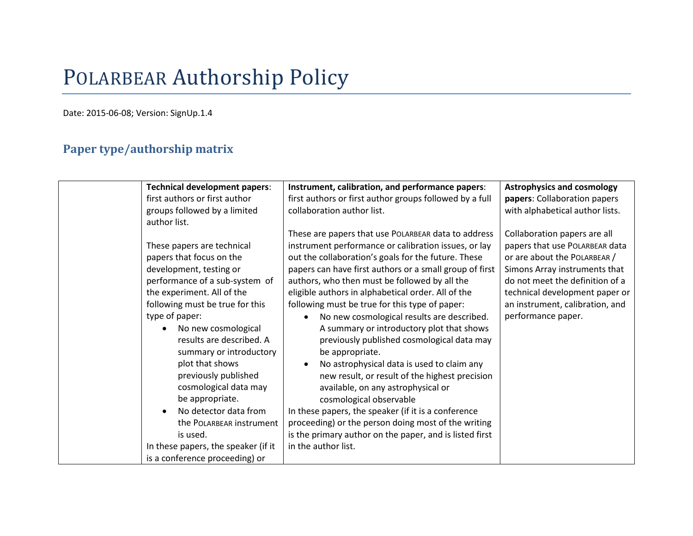# POLARBEAR Authorship Policy

Date: 2015-06-08; Version: SignUp.1.4

# **Paper type/authorship matrix**

| <b>Technical development papers:</b> | Instrument, calibration, and performance papers:        | <b>Astrophysics and cosmology</b> |
|--------------------------------------|---------------------------------------------------------|-----------------------------------|
| first authors or first author        | first authors or first author groups followed by a full | papers: Collaboration papers      |
| groups followed by a limited         | collaboration author list.                              | with alphabetical author lists.   |
| author list.                         |                                                         |                                   |
|                                      | These are papers that use POLARBEAR data to address     | Collaboration papers are all      |
| These papers are technical           | instrument performance or calibration issues, or lay    | papers that use POLARBEAR data    |
| papers that focus on the             | out the collaboration's goals for the future. These     | or are about the POLARBEAR /      |
| development, testing or              | papers can have first authors or a small group of first | Simons Array instruments that     |
| performance of a sub-system of       | authors, who then must be followed by all the           | do not meet the definition of a   |
| the experiment. All of the           | eligible authors in alphabetical order. All of the      | technical development paper or    |
| following must be true for this      | following must be true for this type of paper:          | an instrument, calibration, and   |
| type of paper:                       | No new cosmological results are described.              | performance paper.                |
| No new cosmological                  | A summary or introductory plot that shows               |                                   |
| results are described. A             | previously published cosmological data may              |                                   |
| summary or introductory              | be appropriate.                                         |                                   |
| plot that shows                      | No astrophysical data is used to claim any              |                                   |
| previously published                 | new result, or result of the highest precision          |                                   |
| cosmological data may                | available, on any astrophysical or                      |                                   |
| be appropriate.                      | cosmological observable                                 |                                   |
| No detector data from                | In these papers, the speaker (if it is a conference     |                                   |
| the POLARBEAR instrument             | proceeding) or the person doing most of the writing     |                                   |
| is used.                             | is the primary author on the paper, and is listed first |                                   |
| In these papers, the speaker (if it  | in the author list.                                     |                                   |
| is a conference proceeding) or       |                                                         |                                   |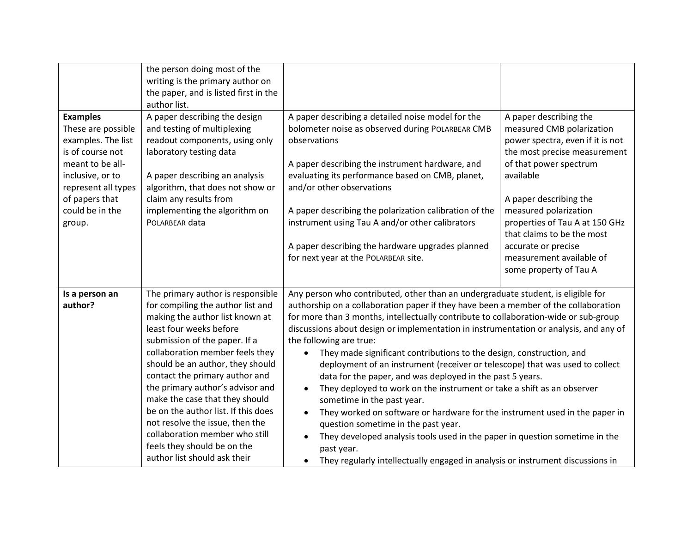|                                                                                                                                                                                               | the person doing most of the<br>writing is the primary author on<br>the paper, and is listed first in the<br>author list.                                                                                                                                                                                                                                                                                                                                                                                                       |                                                                                                                                                                                                                                                                                                                                                                                                                                                                                                                                                                                                                                                                                                                                                                                                                                                                                                                                                                                                                                                 |                                                                                                                                                                                                                                                                                   |
|-----------------------------------------------------------------------------------------------------------------------------------------------------------------------------------------------|---------------------------------------------------------------------------------------------------------------------------------------------------------------------------------------------------------------------------------------------------------------------------------------------------------------------------------------------------------------------------------------------------------------------------------------------------------------------------------------------------------------------------------|-------------------------------------------------------------------------------------------------------------------------------------------------------------------------------------------------------------------------------------------------------------------------------------------------------------------------------------------------------------------------------------------------------------------------------------------------------------------------------------------------------------------------------------------------------------------------------------------------------------------------------------------------------------------------------------------------------------------------------------------------------------------------------------------------------------------------------------------------------------------------------------------------------------------------------------------------------------------------------------------------------------------------------------------------|-----------------------------------------------------------------------------------------------------------------------------------------------------------------------------------------------------------------------------------------------------------------------------------|
| <b>Examples</b><br>These are possible<br>examples. The list<br>is of course not<br>meant to be all-<br>inclusive, or to<br>represent all types<br>of papers that<br>could be in the<br>group. | A paper describing the design<br>and testing of multiplexing<br>readout components, using only<br>laboratory testing data<br>A paper describing an analysis<br>algorithm, that does not show or<br>claim any results from<br>implementing the algorithm on<br>POLARBEAR data                                                                                                                                                                                                                                                    | A paper describing a detailed noise model for the<br>bolometer noise as observed during POLARBEAR CMB<br>observations<br>A paper describing the instrument hardware, and<br>evaluating its performance based on CMB, planet,<br>and/or other observations<br>A paper describing the polarization calibration of the<br>instrument using Tau A and/or other calibrators                                                                                                                                                                                                                                                                                                                                                                                                                                                                                                                                                                                                                                                                          | A paper describing the<br>measured CMB polarization<br>power spectra, even if it is not<br>the most precise measurement<br>of that power spectrum<br>available<br>A paper describing the<br>measured polarization<br>properties of Tau A at 150 GHz<br>that claims to be the most |
|                                                                                                                                                                                               |                                                                                                                                                                                                                                                                                                                                                                                                                                                                                                                                 | A paper describing the hardware upgrades planned<br>for next year at the POLARBEAR site.                                                                                                                                                                                                                                                                                                                                                                                                                                                                                                                                                                                                                                                                                                                                                                                                                                                                                                                                                        | accurate or precise<br>measurement available of<br>some property of Tau A                                                                                                                                                                                                         |
| Is a person an<br>author?                                                                                                                                                                     | The primary author is responsible<br>for compiling the author list and<br>making the author list known at<br>least four weeks before<br>submission of the paper. If a<br>collaboration member feels they<br>should be an author, they should<br>contact the primary author and<br>the primary author's advisor and<br>make the case that they should<br>be on the author list. If this does<br>not resolve the issue, then the<br>collaboration member who still<br>feels they should be on the<br>author list should ask their | Any person who contributed, other than an undergraduate student, is eligible for<br>authorship on a collaboration paper if they have been a member of the collaboration<br>for more than 3 months, intellectually contribute to collaboration-wide or sub-group<br>discussions about design or implementation in instrumentation or analysis, and any of<br>the following are true:<br>They made significant contributions to the design, construction, and<br>$\bullet$<br>deployment of an instrument (receiver or telescope) that was used to collect<br>data for the paper, and was deployed in the past 5 years.<br>They deployed to work on the instrument or take a shift as an observer<br>sometime in the past year.<br>They worked on software or hardware for the instrument used in the paper in<br>$\bullet$<br>question sometime in the past year.<br>They developed analysis tools used in the paper in question sometime in the<br>past year.<br>They regularly intellectually engaged in analysis or instrument discussions in |                                                                                                                                                                                                                                                                                   |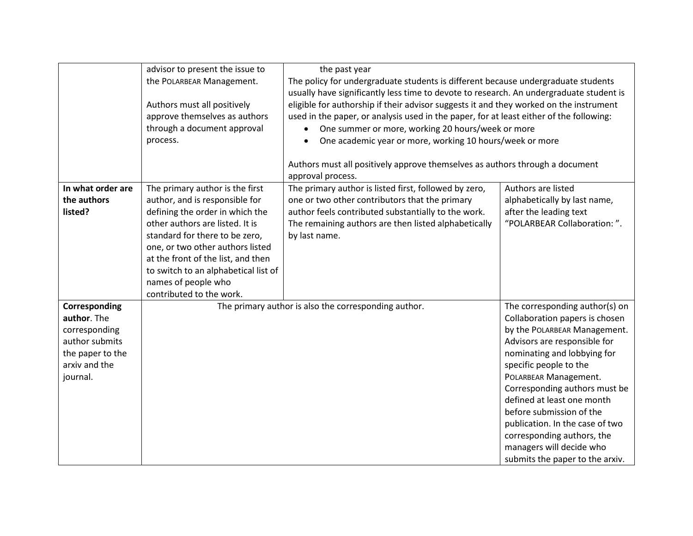|                   | advisor to present the issue to      | the past year                                                                           |                                 |  |
|-------------------|--------------------------------------|-----------------------------------------------------------------------------------------|---------------------------------|--|
|                   | the POLARBEAR Management.            | The policy for undergraduate students is different because undergraduate students       |                                 |  |
|                   |                                      | usually have significantly less time to devote to research. An undergraduate student is |                                 |  |
|                   | Authors must all positively          | eligible for authorship if their advisor suggests it and they worked on the instrument  |                                 |  |
|                   | approve themselves as authors        | used in the paper, or analysis used in the paper, for at least either of the following: |                                 |  |
|                   | through a document approval          | One summer or more, working 20 hours/week or more                                       |                                 |  |
|                   | process.                             | One academic year or more, working 10 hours/week or more                                |                                 |  |
|                   |                                      |                                                                                         |                                 |  |
|                   |                                      | Authors must all positively approve themselves as authors through a document            |                                 |  |
|                   |                                      | approval process.                                                                       |                                 |  |
| In what order are | The primary author is the first      | The primary author is listed first, followed by zero,                                   | Authors are listed              |  |
| the authors       | author, and is responsible for       | one or two other contributors that the primary                                          | alphabetically by last name,    |  |
| listed?           | defining the order in which the      | author feels contributed substantially to the work.                                     | after the leading text          |  |
|                   | other authors are listed. It is      | The remaining authors are then listed alphabetically                                    | "POLARBEAR Collaboration: ".    |  |
|                   | standard for there to be zero,       | by last name.                                                                           |                                 |  |
|                   | one, or two other authors listed     |                                                                                         |                                 |  |
|                   | at the front of the list, and then   |                                                                                         |                                 |  |
|                   | to switch to an alphabetical list of |                                                                                         |                                 |  |
|                   | names of people who                  |                                                                                         |                                 |  |
|                   | contributed to the work.             |                                                                                         |                                 |  |
| Corresponding     |                                      | The primary author is also the corresponding author.                                    | The corresponding author(s) on  |  |
| author. The       |                                      |                                                                                         | Collaboration papers is chosen  |  |
| corresponding     |                                      |                                                                                         | by the POLARBEAR Management.    |  |
| author submits    |                                      |                                                                                         | Advisors are responsible for    |  |
| the paper to the  |                                      |                                                                                         | nominating and lobbying for     |  |
| arxiv and the     |                                      |                                                                                         | specific people to the          |  |
| journal.          |                                      |                                                                                         | POLARBEAR Management.           |  |
|                   |                                      |                                                                                         | Corresponding authors must be   |  |
|                   |                                      |                                                                                         | defined at least one month      |  |
|                   |                                      |                                                                                         | before submission of the        |  |
|                   |                                      |                                                                                         | publication. In the case of two |  |
|                   |                                      |                                                                                         | corresponding authors, the      |  |
|                   |                                      |                                                                                         | managers will decide who        |  |
|                   |                                      |                                                                                         | submits the paper to the arxiv. |  |